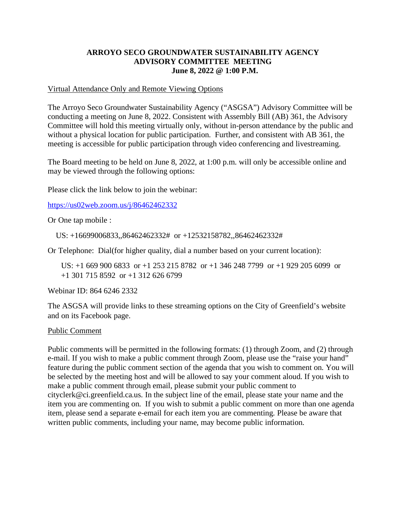# **ARROYO SECO GROUNDWATER SUSTAINABILITY AGENCY ADVISORY COMMITTEE MEETING June 8, 2022 @ 1:00 P.M.**

# Virtual Attendance Only and Remote Viewing Options

The Arroyo Seco Groundwater Sustainability Agency ("ASGSA") Advisory Committee will be conducting a meeting on June 8, 2022. Consistent with Assembly Bill (AB) 361, the Advisory Committee will hold this meeting virtually only, without in-person attendance by the public and without a physical location for public participation. Further, and consistent with AB 361, the meeting is accessible for public participation through video conferencing and livestreaming.

The Board meeting to be held on June 8, 2022, at 1:00 p.m. will only be accessible online and may be viewed through the following options:

Please click the link below to join the webinar:

[https://us02web.zoom.us/j/86462462332](https://gcc02.safelinks.protection.outlook.com/?url=https%3A%2F%2Fus02web.zoom.us%2Fj%2F86462462332&data=05%7C01%7Carathbun%40ci.greenfield.ca.us%7C04a8dfa195fa4bb4dde508da4808324b%7C52adf9cdcd76407fa0a4fe337a2cafc6%7C0%7C0%7C637901497294789636%7CUnknown%7CTWFpbGZsb3d8eyJWIjoiMC4wLjAwMDAiLCJQIjoiV2luMzIiLCJBTiI6Ik1haWwiLCJXVCI6Mn0%3D%7C3000%7C%7C%7C&sdata=IlKdMbA4bM0z6ULJcnt0J%2BeFRGXybnlGyDeCwfrE0W4%3D&reserved=0)

Or One tap mobile :

US: +16699006833,,86462462332# or +12532158782,,86462462332#

Or Telephone: Dial(for higher quality, dial a number based on your current location):

US: +1 669 900 6833 or +1 253 215 8782 or +1 346 248 7799 or +1 929 205 6099 or +1 301 715 8592 or +1 312 626 6799

Webinar ID: 864 6246 2332

The ASGSA will provide links to these streaming options on the City of Greenfield's website and on its Facebook page.

## Public Comment

Public comments will be permitted in the following formats: (1) through Zoom, and (2) through e-mail. If you wish to make a public comment through Zoom, please use the "raise your hand" feature during the public comment section of the agenda that you wish to comment on. You will be selected by the meeting host and will be allowed to say your comment aloud. If you wish to make a public comment through email, please submit your public comment to cityclerk@ci.greenfield.ca.us. In the subject line of the email, please state your name and the item you are commenting on. If you wish to submit a public comment on more than one agenda item, please send a separate e-email for each item you are commenting. Please be aware that written public comments, including your name, may become public information.